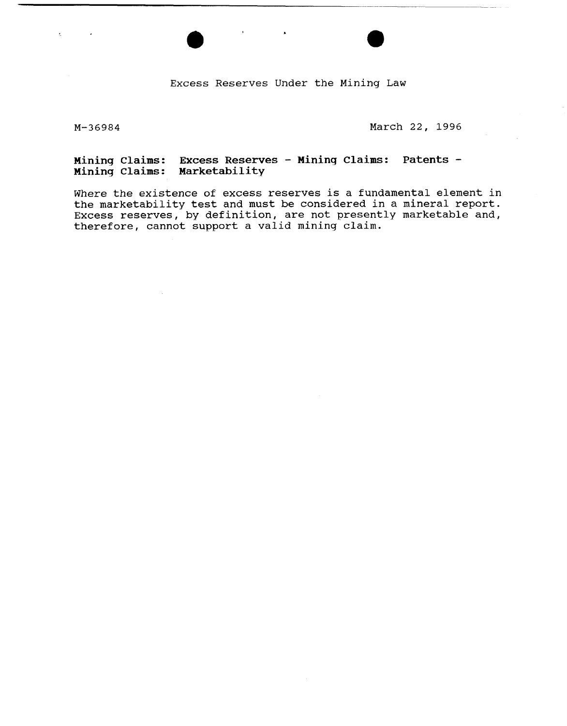**Excess Reserves Under the Mining Law** 

k.

 $\sim 10$ 

**M-36984 March 22, 1996** 

#### **Mininq Claims: Excess Reserves** - **Mining Claims: Patents** - **Mining Claims: Marketability**

**Where the existence of excess reserves is a fundamental element in the marketability test and must be considered in a mineral report. Excess reserves, by definition, are not presently marketable and, therefore, cannot support a valid mining claim.**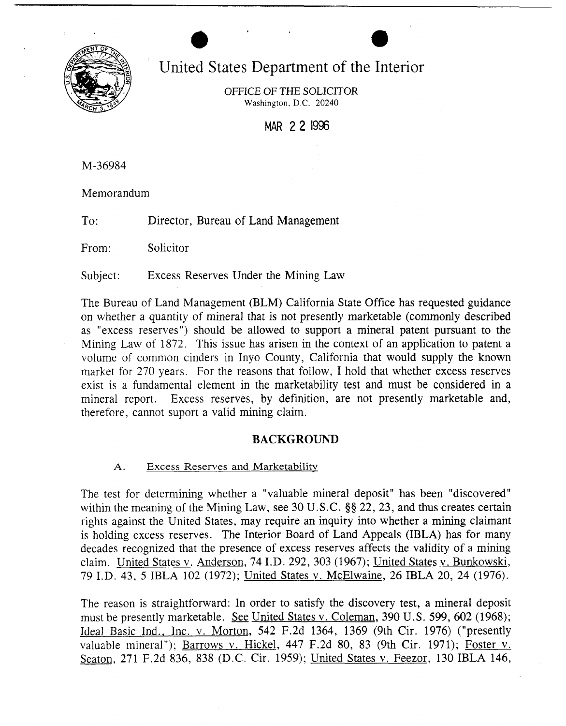

# United States Department of the Interior

**a a** 

OFFICE OF THE SOLICITOR Washington, D.C. 20240

MAR 2 **2** 1996

M-36984

Memorandum

To: Director, Bureau of Land Management

From: Solicitor

Subject: Excess Reserves Under the Mining Law

The Bureau of Land Management (BLM) California State Office has requested guidance on whether a quantity of mineral that is not presently marketable (commonly described as "excess reserves") should be allowed to support a mineral patent pursuant to the Mining Law of 1872. This issue has arisen in the context of an application to patent a volume of common cinders in Inyo County, California that would supply the known market for 270 years. For the reasons that follow, I hold that whether excess reserves exist is a fundamental element in the marketability test and must be considered in a mineral report. Excess reserves, by definition, are not presently marketable and, therefore, cannot suport a valid mining claim.

# **BACKGROUND**

A. Excess Reserves and Marketability

The test for determining whether a "valuable mineral deposit" has been "discovered" within the meaning of the Mining Law, see 30 U.S.C.  $\S$ § 22, 23, and thus creates certain rights against the United States, may require an inquiry into whether a mining claimant is holding excess reserves. The Interior Board of Land Appeals (IBLA) has for many decades recognized that the presence of excess reserves affects the validity of a mining claim. United States v. Anderson, 74 I.D. 292, 303 (1967); United States v. Bunkowski, 79 I.D. 43, 5 IBLA 102 (1972); United States v. McElwaine, 26 IBLA 20, 24 (1976).

The reason is straightforward: In order to satisfy the discovery test, a mineral deposit must be presently marketable. *See* United States v. Coleman, 390 U. S. 599, 602 (1968); Ideal Basic Ind., Inc. v. Morton, 542 F.2d 1364, 1369 (9th Cir. 1976) ("presently valuable mineral"); Barrows v. Hickel, 447 F.2d 80, 83 (9th Cir. 1971); Foster v. Seaton, 271 F.2d 836, 838 (D.C. Cir. 1959); United States v. Feezor, 130 IBLA 146,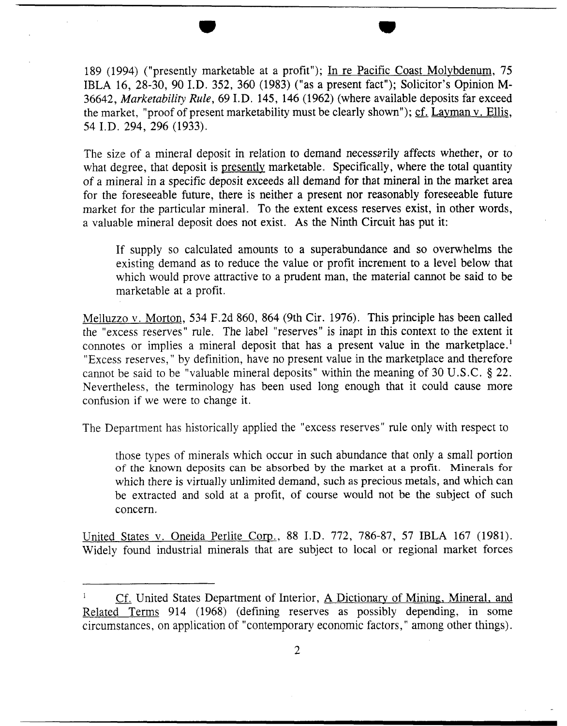189 (1994) ("presently marketable at a profit"); In re Pacific Coast Molybdenum, 75 IBLA 16, 28-30, 90 I.D. 352, 360 (1983) ("as a present fact"); Solicitor's Opinion M-36642, Marketability Rule, 69 I. D. 145, 146 (1962) (where available deposits far exceed the market, "proof of present marketability must be clearly shown"); cf. Layman v. Ellis, 54 I.D. 294, 296 (1933).

The size of a mineral deposit in relation to demand necessarily affects whether, or to what degree, that deposit is presently marketable. Specifically, where the total quantity of a mineral in a specific deposit exceeds all demand for that mineral in the market area for the foreseeable future, there is neither a present nor reasonably foreseeable future market for the particular mineral. To the extent excess reserves exist, in other words, a valuable mineral deposit does not exist. As the Ninth Circuit has put it:

If supply so calculated amounts to a superabundance and so overwhelms the existing demand as to reduce the value or profit increment to a level below that which would prove attractive to a prudent man, the material cannot be said to be marketable at a profit.

Melluzzo v. Morton, 534 F.2d 860, 864 (9th Cir. 1976). This principle has been called the "excess reserves" rule. The label "reserves" is inapt in this context to the extent it connotes or implies a mineral deposit that has a present value in the marketplace.' "Excess reserves," by definition, have no present value in the marketplace and therefore cannot be said to be "valuable mineral deposits" within the meaning of 30 U.S .C. \$ 22. Nevertheless, the terminology has been used long enough that it could cause more confusion if we were to change it.

The Department has historically applied the "excess reserves" rule only with respect to

those types of minerals which occur in such abundance that only a small portion of the known deposits can be absorbed by the market at a profit. Minerals for which there is virtually unlimited demand, such as precious metals, and which can be extracted and sold at a profit, of course would not be the subject of such concern.

United States v. Oneida Perlite Corp., 88 I.D. 772, 786-87, 57 IBLA 167 (1981). Widely found industrial minerals that are subject to local or regional market forces

Cf. United States Department of Interior, A Dictionary of Mining, Mineral, and Related Terms 914 (1968) (defining reserves as possibly depending, in some circurns tances , on application of "contemporary economic factors, " among other things).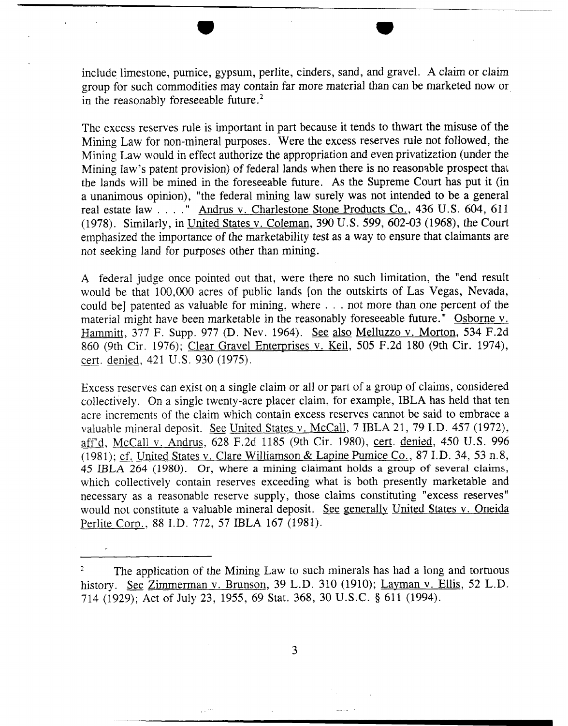include limestone, pumice, gypsum, perlite, cinders, sand, and gravel. **A** claim or claim group for such commodities may contain far more material than can be marketed now or in the reasonably foreseeable future. $^{2}$ 

The excess reserves rule is important in part because it tends to thwart the misuse of the Mining Law for non-mineral purposes. Were the excess reserves rule not followed, the Mining Law would in effect authorize the appropriation and even privatization (under the Mining law's patent provision) of federal lands when there is no reasonable prospect thar the lands will be mined in the foreseeable future. As the Supreme Court has put it (in a unanimous opinion), "the federal mining law surely was not intended to be a general real estate law . . . . " Andrus v. Charlestone Stone Products Co., 436 U.S. 604, 611 (1978). Similarly, in United States v. Coleman, 390 U.S. 599, 602-03 (1968), the Court emphasized the importance of the marketability test as a way to ensure that claimants are not seeking land for purposes other than mining.

A federal judge once pointed out that, were there no such limitation, the "end result would be that 100,000 acres of public lands [on the outskirts of Las Vegas, Nevada, could be] patented as valuable for mining, where . . . not more than one percent of the material might have been marketable in the reasonably foreseeable future." Osborne v. Hammitt, 377 F. Supp. 977 (D. Nev. 1964). See also Melluzzo v. Morton, 534 F.2d 860 (9th Cir. 1976); Clear Gravel Enterprises v. Keil, 505 F.2d 180 (9th Cir. 1974), material might have been marketable<br>
Hammitt, 377 F. Supp. 977 (D. Ne<br>
860 (9th Cir. 1976); <u>Clear Gravel I</u><br>
<u>cert. denied</u>, 421 U.S. 930 (1975).

Excess reserves can exist on a single claim or all or part of a group of claims, considered collectively. On a single twenty-acre placer claim, for example, IBLA has held that ten acre increments of the claim which contain excess reserves cannot be said to embrace a valuable mineral deposit. See United States v. McCall, 7 IBLA 21, 79 I.D. 457 (1972), aff'd, McCall v. Andrus, 628 F.2d 1185 (9th Cir. 1980), cert. denizd, 450 U.S. 996 (1981); cf. United States v. Clare Williamson & Lapine Pumice Co., 87 I.D. 34, 53 n.8, 45 IBLA 264 (1980). Or, where **a mining claimant holds a** group **of** several claims, which collectively contain reserves exceeding what is both presently marketable and necessary as a reasonable reserve supply, those claims constituting "excess reserves" would not constitute a valuable mineral deposit. *See* generally United States v. Oneida Perlite Corn., 88 I.D. 772, *57* IBLA 167 (1981).

3

<sup>&</sup>lt;sup>2</sup>The application of the Mining Law to such minerals has had a long and tortuous history. *See Zimmerman v. Brunson*, 39 L.D. 310 (1910); Layman v. Ellis, 52 L.D. 714 (1929); Act of July 23, 1955, 69 Stat. 368, 30 U.S.C. \$ 611 (1994).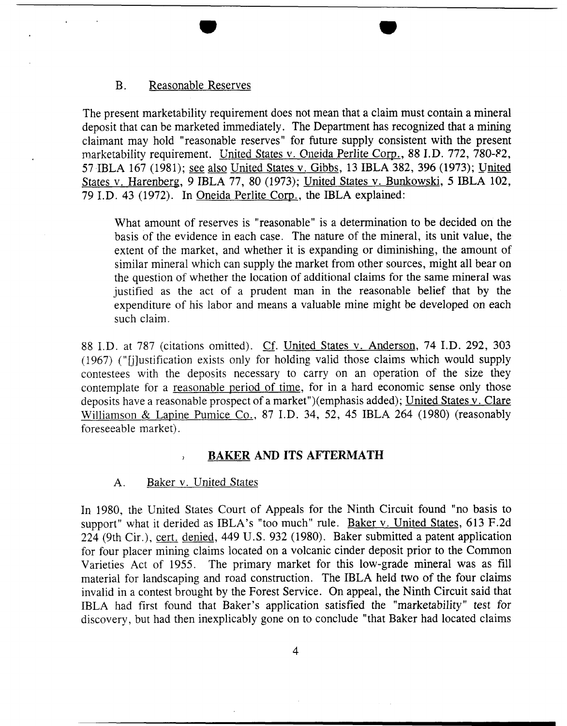#### B. Reasonable Reserves

The present marketability requirement does not mean that a claim must contain a mineral deposit that can be marketed immediately. The Department has recognized that a mining claimant may hold "reasonable reserves" for future supply consistent with the present marketability requirement. United States v. Oneida Perlite Corp., 88 I.D. 772, 780-82, 57 IBLA 167 (1981); see also United States v. Gibbs, 13 IBLA 382, 396 (1973); United States v. Harenberg, 9 IBLA 77, 80 (1973); United States v. Bunkowski, 5 IBLA 102, 79 I.D. 43 (1972). In Oneida Perlite Corn., the IBLA explained:

What amount of reserves is "reasonable" is a determination to be decided on the basis of the evidence in each case. The nature of the mineral, its unit value, the extent of the market, and whether it is expanding or diminishing, the amount of similar mineral which can supply the market from other sources, might all bear on the question of whether the location of additional claims for the same mineral was justified as the act of a prudent man in the reasonable belief that by the expenditure of his labor and means a valuable mine might be developed on each such claim.

88 I.D. at 787 (citations omitted). Cf. United States v. Anderson, 74 I.D. 292, 303 (1967) ("Glustification exists only for holding valid those claims which would supply contestees with the deposits necessary to carry on an operation of the size they contemplate for a reasonable period of time, for in a hard economic sense only those deposits have a reasonable prospect of a market")(emphasis added); United States v. Clare Williamson & Lapine Pumice Co., 87 I.D. 34, 52, 45 IBLA 264 (1980) (reasonably foreseeable market).

## **BAKER AND ITS AFTERMATH**

### A. Baker v. United States

In 1980, the United States Court of Appeals for the Ninth Circuit found "no basis to support" what it derided as IBLA's "too much" rule. Baker v. United States, 613 F.2d 224 (9th Cir .), cert. denied, 449 U. S. 932 (1980). Baker submitted a patent application for four placer mining claims located on a volcanic cinder deposit prior to the Common Varieties Act of 1955. The primary market for this low-grade mineral was as fill material for landscaping and road construction. The IBLA held two of the four claims invalid in a contest brought by the Forest Service. On appeal, the Ninth Circuit said that IBLA had first found that Baker's application satisfied the "marketability" test for discovery, but had then inexplicably gone on to conclude "that Baker had located claims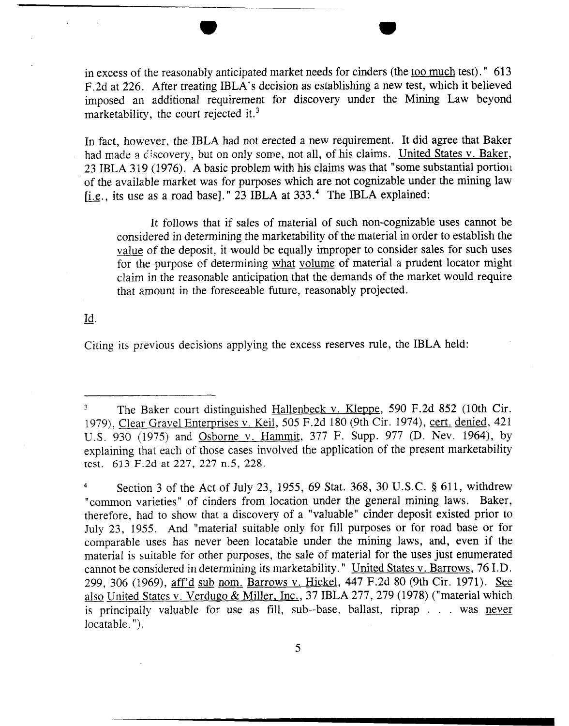in excess of the reasonably anticipated market needs for cinders (the <u>too much</u> test)." 613 F.2d at 226. After treating IBLA's decision as establishing a new test, which it believed imposed an additional requirement for discovery under the Mining Law beyond marketability, the court rejected it.<sup>3</sup>

In fact, however, the IBLA had not erected a new requirement. It did agree that Baker had made a discovery, but on only some, not all, of his claims. United States v. Baker, 23 IBLA 319 (1976). A basic problem with his claims was that "some substantial portion of the available market was for purposes which are not cognizable under the mining law r- i.e., its use as a road base]." **23** IBLA at **333.4** The IBLA explained:

It follows that if sales of material of such non-cognizable uses cannot be considered in determining the marketability of the material in order to establish the value of the deposit, it would be equally improper to consider sales for such uses for the purpose of determining what volume of material a prudent locator might claim in the reasonable anticipation that the demands of the market would require that amount in the foreseeable future, reasonably projected.

Id.

Citing its previous decisions applying the excess reserves rule, the IBLA held:

<sup>&</sup>lt;sup>3</sup> The Baker court distinguished Hallenbeck v. Kleppe, 590 F.2d 852 (10th Cir. 1979), Clear Gravel Enterprises v. Keil, 505 F.2d 180 (9th Cir. 1974), cert. denied, 421 U.S. 930 (1975) and Osborne v. Harnrnit, 377 F. Supp. 977 (D. Nev. 1964), by explaining that each of those cases involved the application of the present marketability test. 613 F.2d at 227, 227 n.5, 228.

**<sup>5</sup>**Section 3 of the Act of July 23, 1955, 69 Stat. 368, 30 U.S.C. § 611, withdrew "common varieties" of cinders from location under the general mining laws. Baker, therefore, had to show that a discovery of a "valuable" cinder deposit existed prior to July 23, 1955. And "material suitable only for fill purposes or for road base or for comparable uses has never been locatable under the mining laws, and, even if the material is suitable for other purposes, the sale of material for the uses just enumerated cannot be considered in determining its marketability. " United States v. Barrows, 76 I.D. 299, 306 (1969), aff'd sub nom. Barrows v. Hickel, 447 F.2d 80 (9th Cir. 1971). *See*  also United States v. Verdugo & Miller, Inc., 37 IBLA 277, 279 (1978) ("material which is principally valuable for use as fill, sub--base, ballast, riprap . . . was never locatable. ").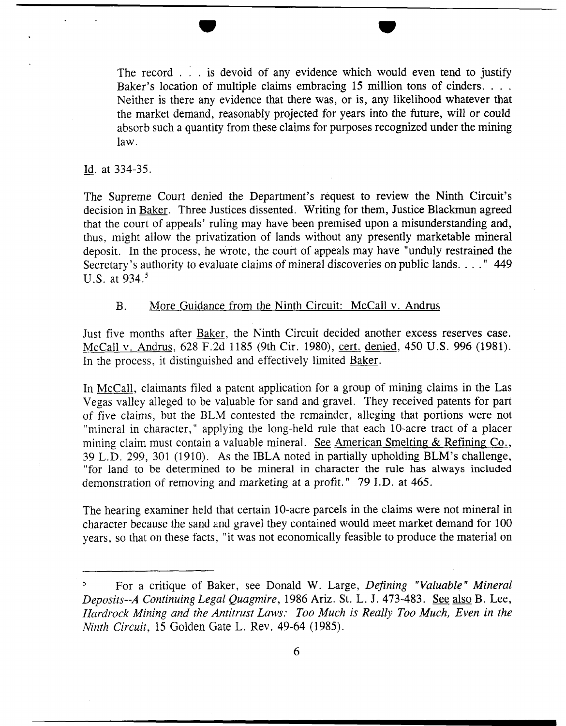The record . . . is devoid of any evidence which would even tend to justify Baker's location of multiple claims embracing 15 million tons of cinders. . . . Neither is there any evidence that there was, or is, any likelihood whatever that the market demand, reasonably projected for years into the future, will or could absorb such a quantity from these claims for purposes recognized under the mining law.

#### Id. at 334-35.

-

The Supreme Court denied the Department's request to review the Ninth Circuit's decision in Baker. Three Justices dissented. Writing for them, Justice Blackmun agreed that the court of appeals' ruling may have been premised upon a misunderstanding and, thus, might allow the privatization of lands without any presently marketable mineral deposit. In the process, he wrote, the court of appeals may have "unduly restrained the Secretary's authority to evaluate claims of mineral discoveries on public lands. . . . "449 U.S. at 934.5

#### B. More Guidance from the Ninth Circuit: McCall v. Andrus

Just five months after Baker, the Ninth Circuit decided another excess reserves case. McCall v. Andrus, 628 F.2d 1 185 (9th Cir. 1980), cert. denied, 450 U.S. 996 (1981). In the process, it distinguished and effectively limited Baker.

In McCall, claimants filed a patent application for a group of mining claims in the Las Vegas valley alleged to be valuable for sand and gravel. They received patents for part of five claims, but the BLM contested the remainder, alleging that portions were not "mineral in character," applying the long-held rule that each 10-acre tract of a placer mining claim must contain a valuable mineral. See American Smelting & Refining Co., 39 L.D. 299, 301 (1910). As the IBLA noted in partially upholding BLM's challenge, "for land to be determined to be mineral in character the rule has always included demonstration of removing and marketing at a profit." 79 I.D. at 465.

The hearing examiner held that certain 10-acre parcels in the claims were not mineral in character because the sand and gravel they contained would meet market demand for 100 years, so that on these facts, "it was not economically feasible to produce the material on

<sup>&</sup>lt;sup>5</sup> For a critique of Baker, see Donald W. Large, *Defining "Valuable" Mineral* Deposits--A Continuing Legal Quagmire, 1986 Ariz. St. L. J. 473-483. See also B. Lee, Hardrock Mining and the Antitrust Laws: *Too* Much is Really Too Much, Even in the Ninth Circuit, 15 Golden Gate L. Rev. 49-64 (1985).